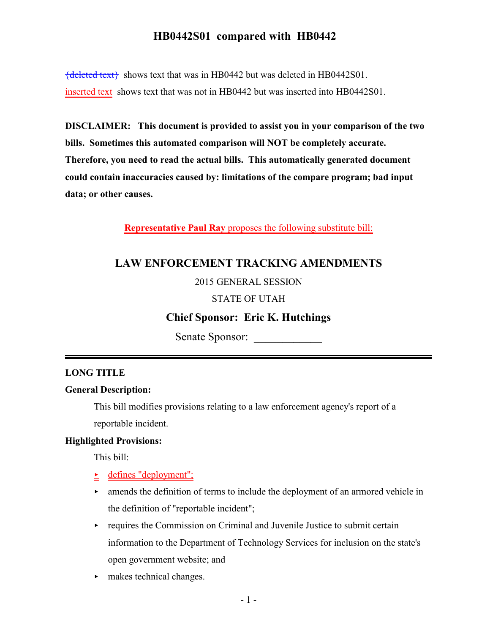${deleted text}$  shows text that was in HB0442 but was deleted in HB0442S01. inserted text shows text that was not in HB0442 but was inserted into HB0442S01.

**DISCLAIMER: This document is provided to assist you in your comparison of the two bills. Sometimes this automated comparison will NOT be completely accurate. Therefore, you need to read the actual bills. This automatically generated document could contain inaccuracies caused by: limitations of the compare program; bad input data; or other causes.**

**Representative Paul Ray** proposes the following substitute bill:

## **LAW ENFORCEMENT TRACKING AMENDMENTS**

#### 2015 GENERAL SESSION

#### STATE OF UTAH

## **Chief Sponsor: Eric K. Hutchings**

Senate Sponsor:

#### **LONG TITLE**

#### **General Description:**

This bill modifies provisions relating to a law enforcement agency's report of a reportable incident.

#### **Highlighted Provisions:**

This bill:

- $\triangle$  defines "deployment";
- $\blacktriangleright$  amends the definition of terms to include the deployment of an armored vehicle in the definition of "reportable incident";
- $\rightarrow$  requires the Commission on Criminal and Juvenile Justice to submit certain information to the Department of Technology Services for inclusion on the state's open government website; and
- makes technical changes.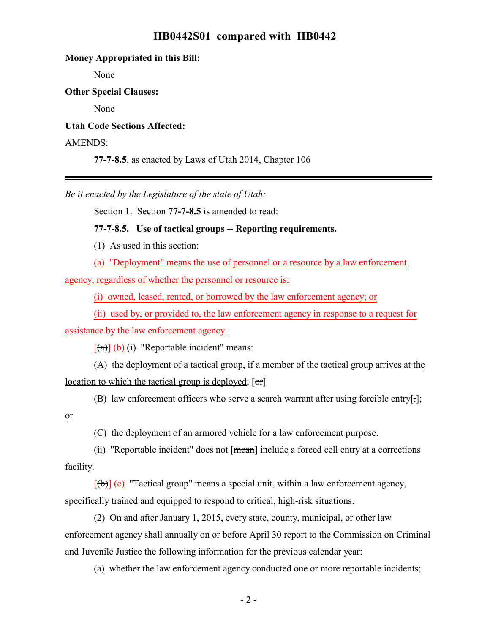# **Money Appropriated in this Bill:** None **Other Special Clauses:** None **Utah Code Sections Affected:** AMENDS: **77-7-8.5**, as enacted by Laws of Utah 2014, Chapter 106

*Be it enacted by the Legislature of the state of Utah:*

Section 1. Section **77-7-8.5** is amended to read:

#### **77-7-8.5. Use of tactical groups -- Reporting requirements.**

(1) As used in this section:

(a) "Deployment" means the use of personnel or a resource by a law enforcement agency, regardless of whether the personnel or resource is:

(i) owned, leased, rented, or borrowed by the law enforcement agency; or

(ii) used by, or provided to, the law enforcement agency in response to a request for assistance by the law enforcement agency.

 $[(a)] (b) (i)$  "Reportable incident" means:

(A) the deployment of a tactical group, if a member of the tactical group arrives at the location to which the tactical group is deployed;  $[**or**]$ 

(B) law enforcement officers who serve a search warrant after using forcible entry[.];

or

(C) the deployment of an armored vehicle for a law enforcement purpose.

(ii) "Reportable incident" does not [mean] include a forced cell entry at a corrections facility.

 $[\text{(\textbf{b})}]$  (c) "Tactical group" means a special unit, within a law enforcement agency, specifically trained and equipped to respond to critical, high-risk situations.

(2) On and after January 1, 2015, every state, county, municipal, or other law enforcement agency shall annually on or before April 30 report to the Commission on Criminal and Juvenile Justice the following information for the previous calendar year:

(a) whether the law enforcement agency conducted one or more reportable incidents;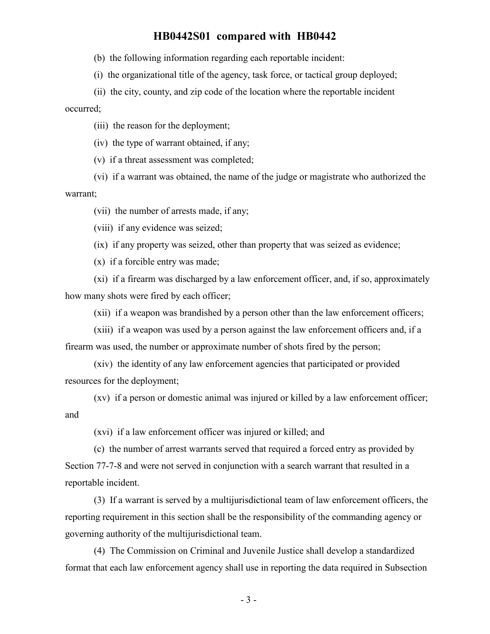(b) the following information regarding each reportable incident:

(i) the organizational title of the agency, task force, or tactical group deployed;

(ii) the city, county, and zip code of the location where the reportable incident occurred;

(iii) the reason for the deployment;

(iv) the type of warrant obtained, if any;

(v) if a threat assessment was completed;

(vi) if a warrant was obtained, the name of the judge or magistrate who authorized the warrant;

(vii) the number of arrests made, if any;

(viii) if any evidence was seized;

(ix) if any property was seized, other than property that was seized as evidence;

(x) if a forcible entry was made;

(xi) if a firearm was discharged by a law enforcement officer, and, if so, approximately how many shots were fired by each officer;

(xii) if a weapon was brandished by a person other than the law enforcement officers;

(xiii) if a weapon was used by a person against the law enforcement officers and, if a firearm was used, the number or approximate number of shots fired by the person;

(xiv) the identity of any law enforcement agencies that participated or provided resources for the deployment;

(xv) if a person or domestic animal was injured or killed by a law enforcement officer; and

(xvi) if a law enforcement officer was injured or killed; and

(c) the number of arrest warrants served that required a forced entry as provided by Section 77-7-8 and were not served in conjunction with a search warrant that resulted in a reportable incident.

(3) If a warrant is served by a multijurisdictional team of law enforcement officers, the reporting requirement in this section shall be the responsibility of the commanding agency or governing authority of the multijurisdictional team.

(4) The Commission on Criminal and Juvenile Justice shall develop a standardized format that each law enforcement agency shall use in reporting the data required in Subsection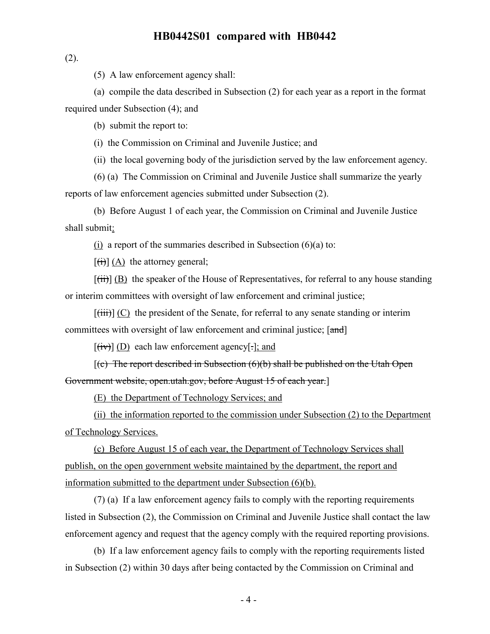$(2)$ .

(5) A law enforcement agency shall:

(a) compile the data described in Subsection (2) for each year as a report in the format required under Subsection (4); and

(b) submit the report to:

(i) the Commission on Criminal and Juvenile Justice; and

(ii) the local governing body of the jurisdiction served by the law enforcement agency.

(6) (a) The Commission on Criminal and Juvenile Justice shall summarize the yearly reports of law enforcement agencies submitted under Subsection (2).

(b) Before August 1 of each year, the Commission on Criminal and Juvenile Justice shall submit:

(i) a report of the summaries described in Subsection  $(6)(a)$  to:

 $[\overrightarrow{(t)}]$  (A) the attorney general;

 $[\overrightarrow{fii}]$  (B) the speaker of the House of Representatives, for referral to any house standing or interim committees with oversight of law enforcement and criminal justice;

 $[\overline{\text{(iii)}}]$  (C) the president of the Senate, for referral to any senate standing or interim committees with oversight of law enforcement and criminal justice; [and]

 $[\overline{(iv)}]$  (D) each law enforcement agency[ $\cdot$ ]; and

 $[(c)$  The report described in Subsection  $(6)(b)$  shall be published on the Utah Open Government website, open.utah.gov, before August 15 of each year.]

(E) the Department of Technology Services; and

(ii) the information reported to the commission under Subsection (2) to the Department of Technology Services.

(c) Before August 15 of each year, the Department of Technology Services shall publish, on the open government website maintained by the department, the report and information submitted to the department under Subsection (6)(b).

(7) (a) If a law enforcement agency fails to comply with the reporting requirements listed in Subsection (2), the Commission on Criminal and Juvenile Justice shall contact the law enforcement agency and request that the agency comply with the required reporting provisions.

(b) If a law enforcement agency fails to comply with the reporting requirements listed in Subsection (2) within 30 days after being contacted by the Commission on Criminal and